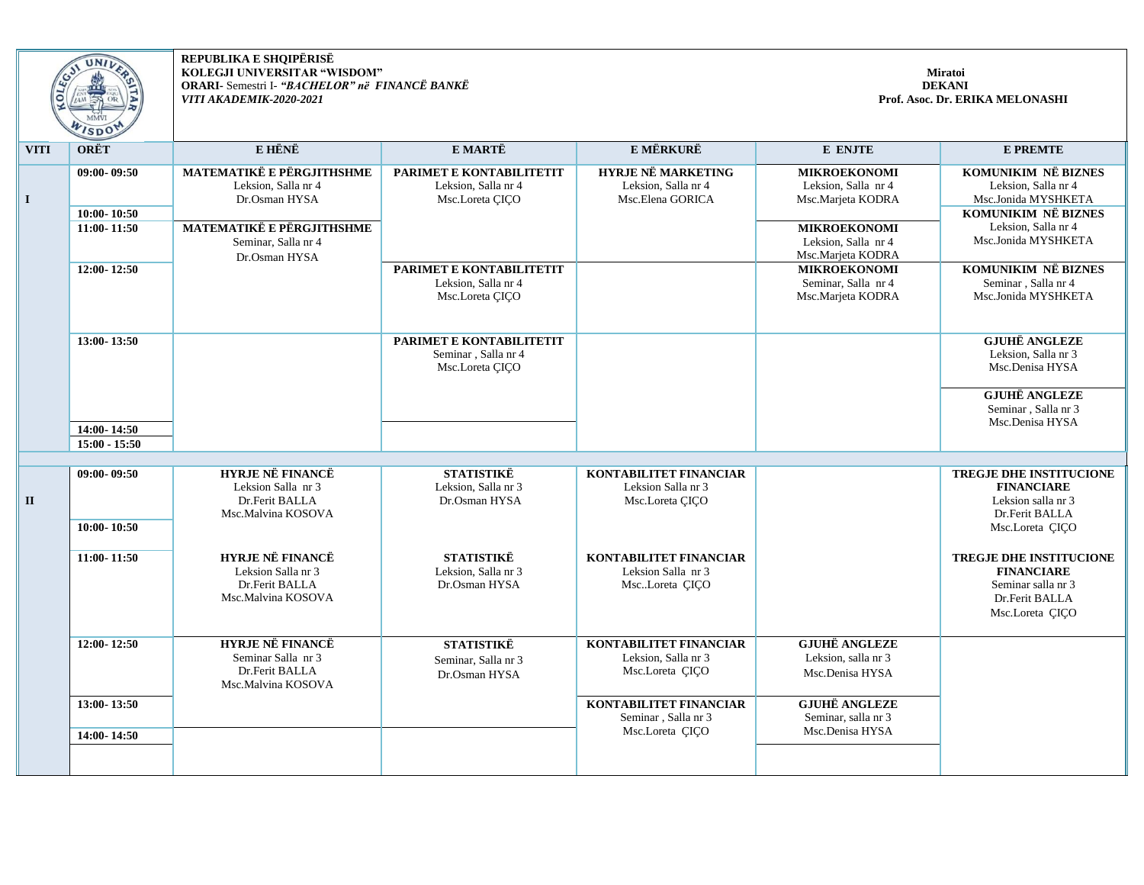

**REPUBLIKA E SHQIPËRISË KOLEGJI UNIVERSITAR "WISDOM" ORARI-** Semestri I- *"BACHELOR" në FINANCË BANKË VITI AKADEMIK-2020-2021*

| <b>VITI</b>  | <b>ORËT</b>                                   | E HËNË                                                                                                                                        | E MARTË                                                            | <b>E MËRKURË</b>                                                        | E ENJTE                                                                                                                            | <b>E PREMTE</b>                                                                                                                               |
|--------------|-----------------------------------------------|-----------------------------------------------------------------------------------------------------------------------------------------------|--------------------------------------------------------------------|-------------------------------------------------------------------------|------------------------------------------------------------------------------------------------------------------------------------|-----------------------------------------------------------------------------------------------------------------------------------------------|
| $\mathbf I$  | $09:00 - 09:50$<br>10:00-10:50<br>11:00-11:50 | <b>MATEMATIKË E PËRGJITHSHME</b><br>Leksion, Salla nr 4<br>Dr.Osman HYSA<br>MATEMATIKË E PËRGJITHSHME<br>Seminar, Salla nr 4<br>Dr.Osman HYSA | PARIMET E KONTABILITETIT<br>Leksion, Salla nr 4<br>Msc.Loreta ÇIÇO | <b>HYRJE NË MARKETING</b><br>Leksion, Salla nr 4<br>Msc.Elena GORICA    | <b>MIKROEKONOMI</b><br>Leksion, Salla nr 4<br>Msc.Marjeta KODRA<br><b>MIKROEKONOMI</b><br>Leksion, Salla nr 4<br>Msc.Marjeta KODRA | <b>KOMUNIKIM NË BIZNES</b><br>Leksion, Salla nr 4<br>Msc.Jonida MYSHKETA<br>KOMUNIKIM NË BIZNES<br>Leksion, Salla nr 4<br>Msc.Jonida MYSHKETA |
|              | 12:00-12:50                                   |                                                                                                                                               | PARIMET E KONTABILITETIT<br>Leksion, Salla nr 4<br>Msc.Loreta CICO |                                                                         | <b>MIKROEKONOMI</b><br>Seminar, Salla nr 4<br>Msc.Marjeta KODRA                                                                    | KOMUNIKIM NË BIZNES<br>Seminar, Salla nr 4<br>Msc.Jonida MYSHKETA                                                                             |
|              | 13:00-13:50                                   |                                                                                                                                               | PARIMET E KONTABILITETIT<br>Seminar, Salla nr 4<br>Msc.Loreta CICO |                                                                         |                                                                                                                                    | <b>GJUHË ANGLEZE</b><br>Leksion, Salla nr 3<br>Msc.Denisa HYSA<br><b>GJUHË ANGLEZE</b>                                                        |
|              | 14:00-14:50<br>$15:00 - 15:50$                |                                                                                                                                               |                                                                    |                                                                         |                                                                                                                                    | Seminar, Salla nr 3<br>Msc.Denisa HYSA                                                                                                        |
|              | 09:00-09:50                                   | <b>HYRJE NË FINANCË</b>                                                                                                                       | STATISTIKË                                                         | KONTABILITET FINANCIAR                                                  |                                                                                                                                    | TREGJE DHE INSTITUCIONE                                                                                                                       |
| $\mathbf{I}$ |                                               | Leksion Salla nr 3<br>Dr.Ferit BALLA<br>Msc.Malvina KOSOVA                                                                                    | Leksion, Salla nr 3<br>Dr.Osman HYSA                               | Leksion Salla nr 3<br>Msc.Loreta CICO                                   |                                                                                                                                    | <b>FINANCIARE</b><br>Leksion salla nr 3<br>Dr.Ferit BALLA                                                                                     |
|              | $10:00 - 10:50$                               |                                                                                                                                               |                                                                    |                                                                         |                                                                                                                                    | Msc.Loreta CICO                                                                                                                               |
|              | 11:00-11:50                                   | <b>HYRJE NË FINANCË</b><br>Leksion Salla nr 3<br>Dr.Ferit BALLA<br>Msc.Malvina KOSOVA                                                         | <b>STATISTIKË</b><br>Leksion, Salla nr 3<br>Dr.Osman HYSA          | KONTABILITET FINANCIAR<br>Leksion Salla nr 3<br>MscLoreta ÇIÇO          |                                                                                                                                    | TREGJE DHE INSTITUCIONE<br><b>FINANCIARE</b><br>Seminar salla nr 3<br>Dr.Ferit BALLA<br>Msc.Loreta CICO                                       |
|              | 12:00-12:50                                   | <b>HYRJE NË FINANCË</b><br>Seminar Salla nr 3<br>Dr.Ferit BALLA<br>Msc.Malvina KOSOVA                                                         | <b>STATISTIKË</b><br>Seminar, Salla nr 3<br>Dr.Osman HYSA          | <b>KONTABILITET FINANCIAR</b><br>Leksion, Salla nr 3<br>Msc.Loreta CICO | <b>GJUHË ANGLEZE</b><br>Leksion, salla nr 3<br>Msc.Denisa HYSA                                                                     |                                                                                                                                               |
|              | 13:00-13:50<br>14:00-14:50                    |                                                                                                                                               |                                                                    | KONTABILITET FINANCIAR<br>Seminar, Salla nr 3<br>Msc.Loreta CICO        | <b>GJUHË ANGLEZE</b><br>Seminar, salla nr 3<br>Msc.Denisa HYSA                                                                     |                                                                                                                                               |
|              |                                               |                                                                                                                                               |                                                                    |                                                                         |                                                                                                                                    |                                                                                                                                               |